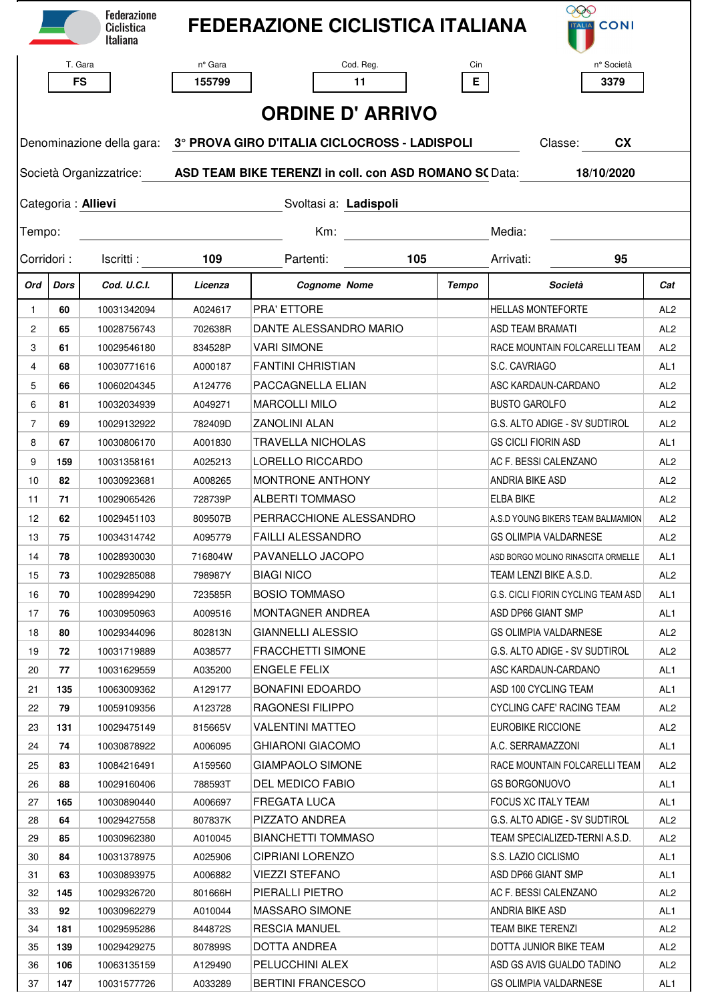|                                             |                         | <b>Federazione</b><br>Ciclistica<br>Italiana |                                                                                                     | <b>FEDERAZIONE CICLISTICA ITALIANA</b> |              | 999<br><b>TALIA</b> CONI                  |                 |  |  |
|---------------------------------------------|-------------------------|----------------------------------------------|-----------------------------------------------------------------------------------------------------|----------------------------------------|--------------|-------------------------------------------|-----------------|--|--|
|                                             | T. Gara                 |                                              | nº Gara                                                                                             | Cod. Reg.                              | Cin          | n° Società                                |                 |  |  |
|                                             | <b>FS</b>               |                                              | 155799                                                                                              | 11                                     | E.           | 3379                                      |                 |  |  |
|                                             |                         |                                              |                                                                                                     |                                        |              |                                           |                 |  |  |
| <b>ORDINE D' ARRIVO</b>                     |                         |                                              |                                                                                                     |                                        |              |                                           |                 |  |  |
|                                             |                         |                                              | Denominazione della gara: 3° PROVA GIRO D'ITALIA CICLOCROSS - LADISPOLI<br>Classe: CX               |                                        |              |                                           |                 |  |  |
|                                             |                         |                                              | Società Organizzatrice: <b>ASD TEAM BIKE TERENZI in coll. con ASD ROMANO S(</b> Data:<br>18/10/2020 |                                        |              |                                           |                 |  |  |
|                                             |                         |                                              |                                                                                                     |                                        |              |                                           |                 |  |  |
| Categoria: Allievi<br>Svoltasi a: Ladispoli |                         |                                              |                                                                                                     |                                        |              |                                           |                 |  |  |
| Tempo:                                      |                         |                                              |                                                                                                     | Km:                                    |              | Media:                                    |                 |  |  |
|                                             | Corridori:<br>Iscritti: |                                              | 109                                                                                                 | Partenti:<br>105                       |              | Arrivati:<br>95                           |                 |  |  |
| Ord                                         | <b>Dors</b>             | Cod. U.C.I.                                  | Licenza                                                                                             | <b>Cognome Nome</b>                    | <b>Tempo</b> | Società                                   | Cat             |  |  |
| $\mathbf{1}$                                | 60                      | 10031342094                                  | A024617                                                                                             | <b>PRA' ETTORE</b>                     |              | <b>HELLAS MONTEFORTE</b>                  | AL <sub>2</sub> |  |  |
| 2                                           | 65                      | 10028756743                                  | 702638R                                                                                             | DANTE ALESSANDRO MARIO                 |              | <b>ASD TEAM BRAMATI</b>                   | AL <sub>2</sub> |  |  |
| 3                                           | 61                      | 10029546180                                  | 834528P                                                                                             | <b>VARI SIMONE</b>                     |              | RACE MOUNTAIN FOLCARELLI TEAM             | AL <sub>2</sub> |  |  |
| 4                                           | 68                      | 10030771616                                  | A000187                                                                                             | <b>FANTINI CHRISTIAN</b>               |              | S.C. CAVRIAGO                             | AL <sub>1</sub> |  |  |
| 5                                           | 66                      | 10060204345                                  | A124776                                                                                             | PACCAGNELLA ELIAN                      |              | ASC KARDAUN-CARDANO                       | AL <sub>2</sub> |  |  |
| 6                                           | 81                      | 10032034939                                  | A049271                                                                                             | <b>MARCOLLI MILO</b>                   |              | <b>BUSTO GAROLFO</b>                      | AL <sub>2</sub> |  |  |
| $\overline{7}$                              | 69                      | 10029132922                                  | 782409D                                                                                             | ZANOLINI ALAN                          |              | G.S. ALTO ADIGE - SV SUDTIROL             | AL <sub>2</sub> |  |  |
| 8                                           | 67                      | 10030806170                                  | A001830                                                                                             | <b>TRAVELLA NICHOLAS</b>               |              | <b>GS CICLI FIORIN ASD</b>                | AL1             |  |  |
| 9                                           | 159                     | 10031358161                                  | A025213                                                                                             | LORELLO RICCARDO                       |              | AC F. BESSI CALENZANO                     | AL <sub>2</sub> |  |  |
| 10                                          | 82                      | 10030923681                                  | A008265                                                                                             | <b>MONTRONE ANTHONY</b>                |              | <b>ANDRIA BIKE ASD</b>                    | AL <sub>2</sub> |  |  |
| 11                                          | 71                      | 10029065426                                  | 728739P                                                                                             | <b>ALBERTI TOMMASO</b>                 |              | <b>ELBA BIKE</b>                          | AL <sub>2</sub> |  |  |
| 12                                          | 62                      | 10029451103                                  | 809507B                                                                                             | PERRACCHIONE ALESSANDRO                |              | A.S.D YOUNG BIKERS TEAM BALMAMION         | AL <sub>2</sub> |  |  |
| 13                                          | 75                      | 10034314742                                  | A095779                                                                                             | FAILLI ALESSANDRO                      |              | GS OLIMPIA VALDARNESE                     | AI 2            |  |  |
| 14                                          | 78                      | 10028930030                                  | 716804W                                                                                             | PAVANELLO JACOPO                       |              | ASD BORGO MOLINO RINASCITA ORMELLE        | AL1             |  |  |
| 15                                          | 73                      | 10029285088                                  | 798987Y                                                                                             | <b>BIAGI NICO</b>                      |              | TEAM LENZI BIKE A.S.D.                    | AL <sub>2</sub> |  |  |
| 16                                          | 70                      | 10028994290                                  | 723585R                                                                                             | <b>BOSIO TOMMASO</b>                   |              | <b>G.S. CICLI FIORIN CYCLING TEAM ASD</b> | AL1             |  |  |
| 17                                          | 76                      | 10030950963                                  | A009516                                                                                             | <b>MONTAGNER ANDREA</b>                |              | ASD DP66 GIANT SMP                        | AL1             |  |  |
| 18                                          | 80                      | 10029344096                                  | 802813N                                                                                             | <b>GIANNELLI ALESSIO</b>               |              | GS OLIMPIA VALDARNESE                     | AL <sub>2</sub> |  |  |
| 19                                          | 72                      | 10031719889                                  | A038577                                                                                             | FRACCHETTI SIMONE                      |              | G.S. ALTO ADIGE - SV SUDTIROL             | AL <sub>2</sub> |  |  |
| 20                                          | 77                      | 10031629559                                  | A035200                                                                                             | <b>ENGELE FELIX</b>                    |              | ASC KARDAUN-CARDANO                       | AL1             |  |  |
| 21                                          | 135                     | 10063009362                                  | A129177                                                                                             | <b>BONAFINI EDOARDO</b>                |              | ASD 100 CYCLING TEAM                      | AL1             |  |  |
| 22                                          | 79                      | 10059109356                                  | A123728                                                                                             | <b>RAGONESI FILIPPO</b>                |              | CYCLING CAFE' RACING TEAM                 | AL2             |  |  |
| 23                                          | 131                     | 10029475149                                  | 815665V                                                                                             | VALENTINI MATTEO                       |              | <b>EUROBIKE RICCIONE</b>                  | AL2             |  |  |
| 24                                          | 74                      | 10030878922                                  | A006095                                                                                             | GHIARONI GIACOMO                       |              | A.C. SERRAMAZZONI                         | AL <sub>1</sub> |  |  |
| 25                                          | 83                      | 10084216491                                  | A159560                                                                                             | GIAMPAOLO SIMONE                       |              | RACE MOUNTAIN FOLCARELLI TEAM             | AL <sub>2</sub> |  |  |
| 26                                          | 88                      | 10029160406                                  | 788593T                                                                                             | DEL MEDICO FABIO                       |              | <b>GS BORGONUOVO</b>                      | AL1             |  |  |
| 27                                          | 165                     | 10030890440                                  | A006697                                                                                             | <b>FREGATA LUCA</b>                    |              | <b>FOCUS XC ITALY TEAM</b>                | AL1             |  |  |
| 28                                          | 64                      | 10029427558                                  | 807837K                                                                                             | PIZZATO ANDREA                         |              | G.S. ALTO ADIGE - SV SUDTIROL             | AL2             |  |  |
| 29                                          | 85                      | 10030962380                                  | A010045                                                                                             | <b>BIANCHETTI TOMMASO</b>              |              | TEAM SPECIALIZED-TERNI A.S.D.             | AL <sub>2</sub> |  |  |
| 30                                          | 84                      | 10031378975                                  | A025906                                                                                             | CIPRIANI LORENZO                       |              | S.S. LAZIO CICLISMO                       | AL1             |  |  |
| 31                                          | 63                      | 10030893975                                  | A006882                                                                                             | <b>VIEZZI STEFANO</b>                  |              | ASD DP66 GIANT SMP                        | AL1             |  |  |
| 32                                          | 145                     | 10029326720                                  | 801666H                                                                                             | PIERALLI PIETRO                        |              | AC F. BESSI CALENZANO                     | AL <sub>2</sub> |  |  |
| 33                                          | 92                      | 10030962279                                  | A010044                                                                                             | <b>MASSARO SIMONE</b>                  |              | ANDRIA BIKE ASD                           | AL1             |  |  |
| 34                                          | 181                     | 10029595286                                  | 844872S                                                                                             | RESCIA MANUEL                          |              | TEAM BIKE TERENZI                         | AL2             |  |  |
| 35                                          | 139                     | 10029429275                                  | 807899S                                                                                             | DOTTA ANDREA                           |              | DOTTA JUNIOR BIKE TEAM                    | AL <sub>2</sub> |  |  |
| 36                                          | 106                     | 10063135159                                  | A129490                                                                                             | PELUCCHINI ALEX                        |              | ASD GS AVIS GUALDO TADINO                 | AL <sub>2</sub> |  |  |
| 37                                          | 147                     | 10031577726                                  | A033289                                                                                             | <b>BERTINI FRANCESCO</b>               |              | <b>GS OLIMPIA VALDARNESE</b>              | AL <sub>1</sub> |  |  |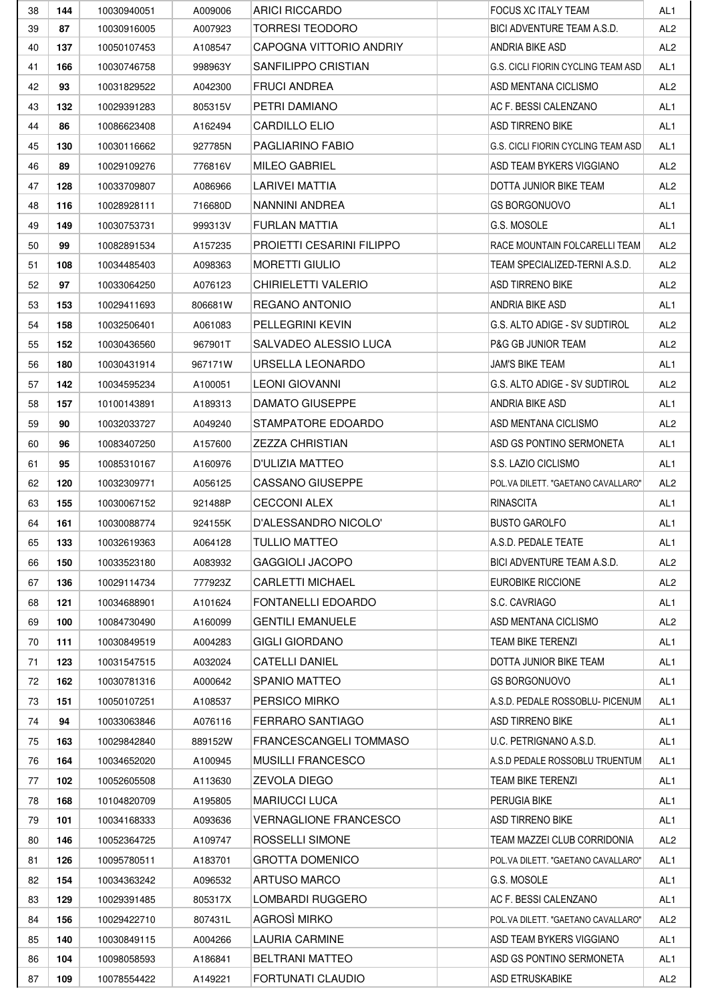| 38 | 144 | 10030940051 | A009006 | <b>ARICI RICCARDO</b>        | <b>FOCUS XC ITALY TEAM</b>          | AL <sub>1</sub> |
|----|-----|-------------|---------|------------------------------|-------------------------------------|-----------------|
| 39 | 87  | 10030916005 | A007923 | TORRESI TEODORO              | BICI ADVENTURE TEAM A.S.D.          | AL <sub>2</sub> |
| 40 | 137 | 10050107453 | A108547 | CAPOGNA VITTORIO ANDRIY      | ANDRIA BIKE ASD                     | AL <sub>2</sub> |
| 41 | 166 | 10030746758 | 998963Y | SANFILIPPO CRISTIAN          | G.S. CICLI FIORIN CYCLING TEAM ASD  | AL <sub>1</sub> |
| 42 | 93  | 10031829522 | A042300 | <b>FRUCI ANDREA</b>          | ASD MENTANA CICLISMO                | AL <sub>2</sub> |
| 43 | 132 | 10029391283 | 805315V | PETRI DAMIANO                | AC F. BESSI CALENZANO               | AL <sub>1</sub> |
| 44 | 86  | 10086623408 | A162494 | CARDILLO ELIO                | ASD TIRRENO BIKE                    | AL1             |
| 45 | 130 | 10030116662 | 927785N | PAGLIARINO FABIO             | G.S. CICLI FIORIN CYCLING TEAM ASD  | AL <sub>1</sub> |
| 46 | 89  | 10029109276 | 776816V | MILEO GABRIEL                | ASD TEAM BYKERS VIGGIANO            | AL <sub>2</sub> |
| 47 | 128 | 10033709807 | A086966 | LARIVEI MATTIA               | DOTTA JUNIOR BIKE TEAM              | AL <sub>2</sub> |
| 48 | 116 | 10028928111 | 716680D | NANNINI ANDREA               | <b>GS BORGONUOVO</b>                | AL <sub>1</sub> |
| 49 | 149 | 10030753731 | 999313V | FURLAN MATTIA                | G.S. MOSOLE                         | AL1             |
| 50 | 99  | 10082891534 | A157235 | PROJETTI CESARINI FILIPPO    | RACE MOUNTAIN FOLCARELLI TEAM       | AL <sub>2</sub> |
| 51 | 108 | 10034485403 | A098363 | <b>MORETTI GIULIO</b>        | TEAM SPECIALIZED-TERNI A.S.D.       | AL <sub>2</sub> |
| 52 | 97  | 10033064250 | A076123 | CHIRIELETTI VALERIO          | ASD TIRRENO BIKE                    | AL <sub>2</sub> |
| 53 | 153 | 10029411693 | 806681W | REGANO ANTONIO               | ANDRIA BIKE ASD                     | AL <sub>1</sub> |
| 54 | 158 | 10032506401 | A061083 | PELLEGRINI KEVIN             | G.S. ALTO ADIGE - SV SUDTIROL       | AL <sub>2</sub> |
| 55 | 152 | 10030436560 | 967901T | SALVADEO ALESSIO LUCA        | <b>P&amp;G GB JUNIOR TEAM</b>       | AL <sub>2</sub> |
| 56 | 180 | 10030431914 | 967171W | URSELLA LEONARDO             | JAM'S BIKE TEAM                     | AL <sub>1</sub> |
| 57 | 142 | 10034595234 | A100051 | LEONI GIOVANNI               | G.S. ALTO ADIGE - SV SUDTIROL       | AL <sub>2</sub> |
| 58 | 157 | 10100143891 | A189313 | DAMATO GIUSEPPE              | ANDRIA BIKE ASD                     | AL <sub>1</sub> |
| 59 | 90  | 10032033727 | A049240 | STAMPATORE EDOARDO           | ASD MENTANA CICLISMO                | AL <sub>2</sub> |
| 60 | 96  | 10083407250 | A157600 | <b>ZEZZA CHRISTIAN</b>       | ASD GS PONTINO SERMONETA            | AL <sub>1</sub> |
| 61 | 95  | 10085310167 | A160976 | D'ULIZIA MATTEO              | S.S. LAZIO CICLISMO                 | AL <sub>1</sub> |
| 62 | 120 | 10032309771 | A056125 | CASSANO GIUSEPPE             | POL.VA DILETT. "GAETANO CAVALLARO"  | AL <sub>2</sub> |
| 63 | 155 | 10030067152 | 921488P | <b>CECCONI ALEX</b>          | <b>RINASCITA</b>                    | AL <sub>1</sub> |
| 64 | 161 | 10030088774 | 924155K | D'ALESSANDRO NICOLO'         | <b>BUSTO GAROLFO</b>                | AL1             |
| 65 | 133 | 10032619363 | A064128 | TULLIO MATTEO                | A.S.D. PEDALE TEATE                 | AL <sub>1</sub> |
| 66 | 150 | 10033523180 | A083932 | <b>GAGGIOLI JACOPO</b>       | <b>BICI ADVENTURE TEAM A.S.D.</b>   | AL <sub>2</sub> |
| 67 | 136 | 10029114734 | 777923Z | <b>CARLETTI MICHAEL</b>      | EUROBIKE RICCIONE                   | AL <sub>2</sub> |
| 68 | 121 | 10034688901 | A101624 | FONTANELLI EDOARDO           | S.C. CAVRIAGO                       | AL <sub>1</sub> |
| 69 | 100 | 10084730490 | A160099 | <b>GENTILI EMANUELE</b>      | ASD MENTANA CICLISMO                | AL <sub>2</sub> |
| 70 | 111 | 10030849519 | A004283 | <b>GIGLI GIORDANO</b>        | TEAM BIKE TERENZI                   | AL1             |
| 71 | 123 | 10031547515 | A032024 | <b>CATELLI DANIEL</b>        | DOTTA JUNIOR BIKE TEAM              | AL1             |
| 72 | 162 | 10030781316 | A000642 | SPANIO MATTEO                | <b>GS BORGONUOVO</b>                | AL <sub>1</sub> |
| 73 | 151 | 10050107251 | A108537 | PERSICO MIRKO                | A.S.D. PEDALE ROSSOBLU- PICENUM     | AL1             |
| 74 | 94  | 10033063846 | A076116 | FERRARO SANTIAGO             | ASD TIRRENO BIKE                    | AL1             |
| 75 | 163 | 10029842840 | 889152W | FRANCESCANGELI TOMMASO       | U.C. PETRIGNANO A.S.D.              | AL1             |
| 76 | 164 | 10034652020 | A100945 | <b>MUSILLI FRANCESCO</b>     | A.S.D PEDALE ROSSOBLU TRUENTUM      | AL <sub>1</sub> |
| 77 | 102 | 10052605508 | A113630 | <b>ZEVOLA DIEGO</b>          | <b>TEAM BIKE TERENZI</b>            | AL <sub>1</sub> |
| 78 | 168 | 10104820709 | A195805 | <b>MARIUCCI LUCA</b>         | PERUGIA BIKE                        | AL1             |
| 79 | 101 | 10034168333 | A093636 | <b>VERNAGLIONE FRANCESCO</b> | <b>ASD TIRRENO BIKE</b>             | AL1             |
| 80 | 146 | 10052364725 | A109747 | ROSSELLI SIMONE              | TEAM MAZZEI CLUB CORRIDONIA         | AL <sub>2</sub> |
| 81 | 126 | 10095780511 | A183701 | <b>GROTTA DOMENICO</b>       | POL.VA DILETT. "GAETANO CAVALLARO"  | AL1             |
| 82 | 154 | 10034363242 | A096532 | ARTUSO MARCO                 | G.S. MOSOLE                         | AL1             |
| 83 | 129 | 10029391485 | 805317X | LOMBARDI RUGGERO             | AC F. BESSI CALENZANO               | AL <sub>1</sub> |
| 84 | 156 | 10029422710 | 807431L | AGROSÌ MIRKO                 | POL. VA DILETT. "GAETANO CAVALLARO" | AL <sub>2</sub> |
| 85 | 140 | 10030849115 | A004266 | LAURIA CARMINE               | ASD TEAM BYKERS VIGGIANO            | AL1             |
| 86 | 104 | 10098058593 | A186841 | <b>BELTRANI MATTEO</b>       | ASD GS PONTINO SERMONETA            | AL1             |
| 87 | 109 | 10078554422 | A149221 | FORTUNATI CLAUDIO            | <b>ASD ETRUSKABIKE</b>              | AL <sub>2</sub> |